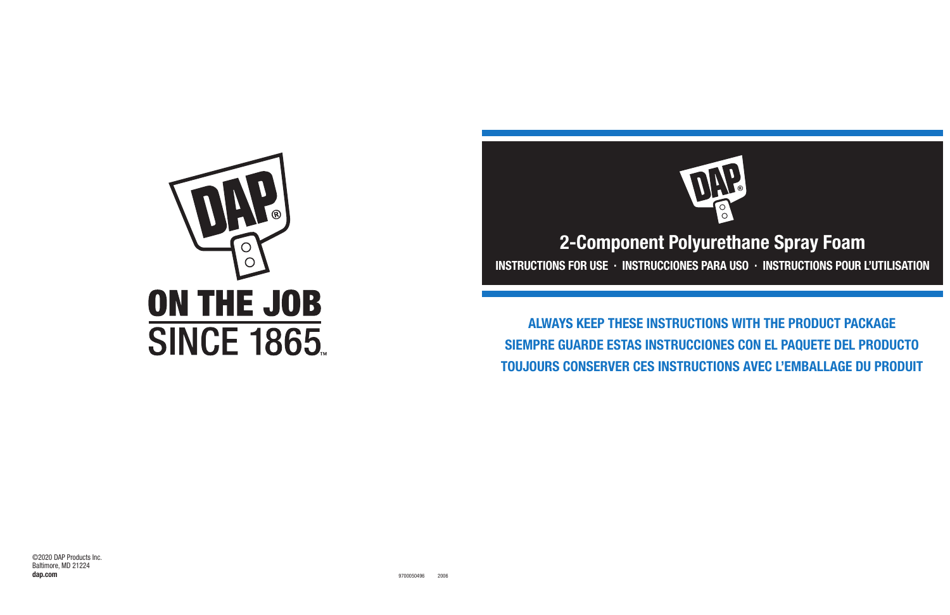# **2-Component Polyurethane Spray Foam INSTRUCTIONS FOR USE · INSTRUCCIONES PARA USO · INSTRUCTIONS POUR L'UTILISATION**



**ALWAYS KEEP THESE INSTRUCTIONS WITH THE PRODUCT PACKAGE SIEMPRE GUARDE ESTAS INSTRUCCIONES CON EL PAQUETE DEL PRODUCTO TOUJOURS CONSERVER CES INSTRUCTIONS AVEC L'EMBALLAGE DU PRODUIT**



©2020 DAP Products Inc. Baltimore, MD 21224 **dap.com**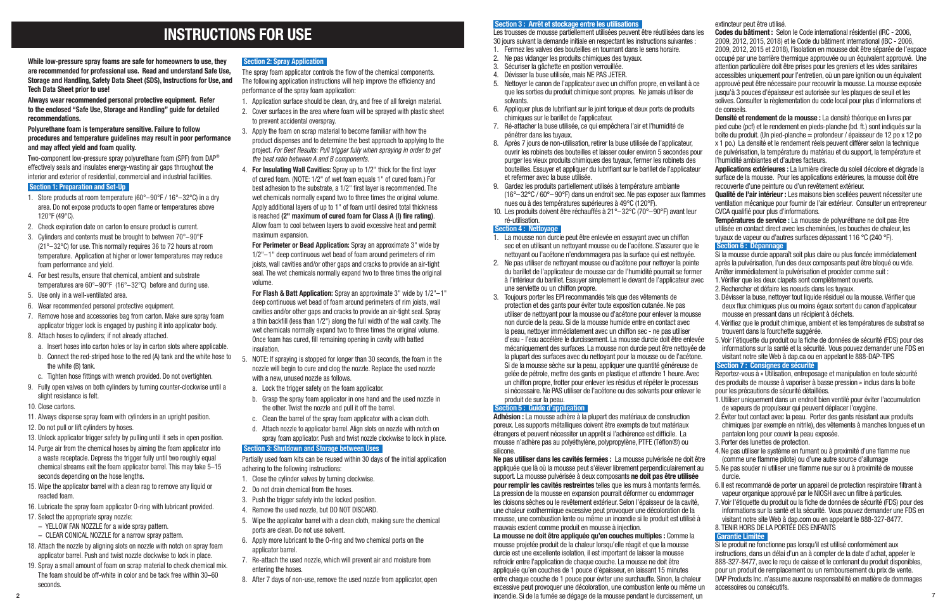**While low-pressure spray foams are safe for homeowners to use, they are recommended for professional use. Read and understand Safe Use, Storage and Handling, Safety Data Sheet (SDS), Instructions for Use, and Tech Data Sheet prior to use!**

**Always wear recommended personal protective equipment. Refer to the enclosed "Safe Use, Storage and Handling" guide for detailed recommendations.**

#### **Polyurethane foam is temperature sensitive. Failure to follow procedures and temperature guidelines may result in poor performance and may affect yield and foam quality.**

Two-component low-pressure spray polyurethane foam (SPF) from DAP® effectively seals and insulates energy-wasting air gaps throughout the interior and exterior of residential, commercial and industrial facilities.

#### **Section 1: Preparation and Set-Up**

- 1. Store products at room temperature (60°–90°F / 16°–32°C) in a dry area. Do not expose products to open flame or temperatures above 120°F (49°C).
- 2. Check expiration date on carton to ensure product is current.
- 3. Cylinders and contents must be brought to between 70°–90°F (21°–32°C) for use. This normally requires 36 to 72 hours at room temperature. Application at higher or lower temperatures may reduce foam performance and yield.
- 4. For best results, ensure that chemical, ambient and substrate temperatures are 60°–90°F (16°–32°C) before and during use.
- 5. Use only in a well-ventilated area.
- 6. Wear recommended personal protective equipment.
- 7. Remove hose and accessories bag from carton. Make sure spray foam applicator trigger lock is engaged by pushing it into applicator body.
- 8. Attach hoses to cylinders; if not already attached.
	- a. Insert hoses into carton holes or lay in carton slots where applicable.
- b. Connect the red-striped hose to the red (A) tank and the white hose to the white (B) tank.
- c. Tighten hose fittings with wrench provided. Do not overtighten.
- 9. Fully open valves on both cylinders by turning counter-clockwise until a slight resistance is felt.
- 10. Close cartons.
- 11. Always dispense spray foam with cylinders in an upright position.
- 12. Do not pull or lift cylinders by hoses.
- 13. Unlock applicator trigger safety by pulling until it sets in open position.
- 14. Purge air from the chemical hoses by aiming the foam applicator into a waste receptacle. Depress the trigger fully until two roughly equal chemical streams exit the foam applicator barrel. This may take 5–15 seconds depending on the hose lengths.
- 15. Wipe the applicator barrel with a clean rag to remove any liquid or reacted foam.
- 16. Lubricate the spray foam applicator O-ring with lubricant provided.
- 17. Select the appropriate spray nozzle:
	- − YELLOW FAN NOZZLE for a wide spray pattern.
- − CLEAR CONICAL NOZZLE for a narrow spray pattern.
- 18. Attach the nozzle by aligning slots on nozzle with notch on spray foam applicator barrel. Push and twist nozzle clockwise to lock in place.
- 19. Spray a small amount of foam on scrap material to check chemical mix. The foam should be off-white in color and be tack free within 30–60 seconds.

# **Section 2: Spray Application**

The spray foam applicator controls the flow of the chemical components. The following application instructions will help improve the efficiency and performance of the spray foam application:

Les trousses de mousse partiellement utilisées peuvent être réutilisées dans 30 jours suivant la demande initiale en respectant les instructions suivantes :

- 1. Application surface should be clean, dry, and free of all foreign material.
- 2. Cover surfaces in the area where foam will be sprayed with plastic sheet to prevent accidental overspray.
- 3. Apply the foam on scrap material to become familiar with how the product dispenses and to determine the best approach to applying to the project. *For Best Results: Pull trigger fully when spraying in order to get the best ratio between A and B components.*
- 4. **For Insulating Wall Cavities:** Spray up to 1/2" thick for the first layer of cured foam. (NOTE: 1/2" of wet foam equals 1" of cured foam.) For best adhesion to the substrate, a 1/2" first layer is recommended. The wet chemicals normally expand two to three times the original volume. Apply additional layers of up to 1" of foam until desired total thickness is reached **(2" maximum of cured foam for Class A (I) fire rating)**. Allow foam to cool between layers to avoid excessive heat and permit maximum expansion.

**For Perimeter or Bead Application:** Spray an approximate 3" wide by 1/2"–1" deep continuous wet bead of foam around perimeters of rim joists, wall cavities and/or other gaps and cracks to provide an air-tight seal. The wet chemicals normally expand two to three times the original volume.

**For Flash & Batt Application:** Spray an approximate 3" wide by 1/2"–1" deep continuous wet bead of foam around perimeters of rim joists, wall cavities and/or other gaps and cracks to provide an air-tight seal. Spray a thin backfill (less than 1/2") along the full width of the wall cavity. The wet chemicals normally expand two to three times the original volume. Once foam has cured, fill remaining opening in cavity with batted insulation.

> Ne pas utiliser dans les cavités fermées : La mousse pulvérisée ne doit êt appliquée que là où la mousse peut s'élever librement perpendiculairement support. La mousse pulvérisée à deux composants **ne doit pas être utilisée pour remplir les cavités restreintes** telles que les murs à montants fermés. La pression de la mousse en expansion pourrait déformer ou endommager les cloisons sèches ou le revêtement extérieur. Selon l'épaisseur de la cavité, une chaleur exothermique excessive peut provoquer une décoloration de la mousse, une combustion lente ou même un incendie si le produit est utilisé à mauvais escient comme produit en mousse à injection.

- 5. NOTE: If spraying is stopped for longer than 30 seconds, the foam in the nozzle will begin to cure and clog the nozzle. Replace the used nozzle with a new, unused nozzle as follows.
	- a. Lock the trigger safety on the foam applicator.
	- b. Grasp the spray foam applicator in one hand and the used nozzle in the other. Twist the nozzle and pull it off the barrel.
	- c. Clean the barrel of the spray foam applicator with a clean cloth.
	- d. Attach nozzle to applicator barrel. Align slots on nozzle with notch on spray foam applicator. Push and twist nozzle clockwise to lock in place.

#### **Section 3: Shutdown and Storage between Uses**

Partially used foam kits can be reused within 30 days of the initial application adhering to the following instructions:

- 1. Close the cylinder valves by turning clockwise.
- 2. Do not drain chemical from the hoses.
- 3. Push the trigger safety into the locked position.
- 4. Remove the used nozzle, but DO NOT DISCARD.
- 5. Wipe the applicator barrel with a clean cloth, making sure the chemical ports are clean. Do not use solvent.
- 6. Apply more lubricant to the O-ring and two chemical ports on the applicator barrel.
- 7. Re-attach the used nozzle, which will prevent air and moisture from entering the hoses.
- 8. After 7 days of non-use, remove the used nozzle from applicator, open

#### **Section 3 : Arrêt et stockage entre les utilisations**

- 1. Fermez les valves des bouteilles en tournant dans le sens horaire.
- 2. Ne pas vidanger les produits chimiques des tuyaux.
- 3. Sécuriser la gâchette en position verrouillée.
- 4. Dévisser la buse utilisée, mais NE PAS JETER.
- 5. Nettoyer le canon de l'applicateur avec un chiffon propre, en veillant à ce que les sorties du produit chimique sont propres. Ne jamais utiliser de solvants.
- 6. Appliquer plus de lubrifiant sur le joint torique et deux ports de produits chimiques sur le barillet de l'applicateur.
- 7. Ré-attacher la buse utilisée, ce qui empêchera l'air et l'humidité de pénétrer dans les tuyaux.
- 8. Après 7 jours de non-utilisation, retirer la buse utilisée de l'applicateur, ouvrir les robinets des bouteilles et laisser couler environ 5 secondes pour purger les vieux produits chimiques des tuyaux, fermer les robinets des bouteilles. Essuyer et appliquer du lubrifiant sur le barillet de l'applicateur et refermer avec la buse utilisée.
- 9. Gardez les produits partiellement utilisés à température ambiante ( $16^{\circ}$ –32 $^{\circ}$ C /  $60^{\circ}$ – 90 $^{\circ}$ F) dans un endroit sec. Ne pas exposer aux flamm nues ou à des températures supérieures à 49°C (120°F).
- 10. Les produits doivent être réchauffés à 21°–32°C (70°–90°F) avant leur ré-utilisation.

### **Section 4 : Nettoyage**

- 1. La mousse non durcie peut être enlevée en essuyant avec un chiffon sec et en utilisant un nettoyant mousse ou de l'acétone. S'assurer que le nettoyant ou l'acétone n'endommagera pas la surface qui est nettoyée.
- 2. Ne pas utiliser de nettoyant mousse ou d'acétone pour nettoyer la pointe du barillet de l'applicateur de mousse car de l'humidité pourrait se forme à l'intérieur du barillet. Essuver simplement le devant de l'applicateur avec une serviette ou un chiffon propre.
- 3. Toujours porter les EPI recommandés tels que des vêtements de protection et des gants pour éviter toute exposition cutanée. Ne pas utiliser de nettoyant pour la mousse ou d'acétone pour enlever la mousse non durcie de la peau. Si de la mousse humide entre en contact avec la peau, nettoyer immédiatement avec un chiffon sec - ne pas utiliser d'eau - l'eau accélère le durcissement. La mousse durcie doit être enlev mécaniquement des surfaces. La mousse non durcie peut être nettoyée la plupart des surfaces avec du nettovant pour la mousse ou de l'acéton Si de la mousse sèche sur la peau, appliquer une quantité généreuse de gelée de pétrole, mettre des gants en plastique et attendre 1 heure. Avec un chiffon propre, frotter pour enlever les résidus et répéter le processus si nécessaire. Ne PAS utiliser de l'acétone ou des solvants pour enlever produit de sur la peau.

### **Section 5 : Guide d'application**

**Adhésion :** La mousse adhère à la plupart des matériaux de construction poreux. Les supports métalliques doivent être exempts de tout matériaux étrangers et peuvent nécessiter un apprêt si l'adhérence est difficile. La mousse n'adhère pas au polyéthylène, polypropylène, PTFE (Téflon®) ou silicone.

**La mousse ne doit être appliquée qu'en couches multiples :** Comme la mousse projetée produit de la chaleur lorsqu'elle réagit et que la mousse durcie est une excellente isolation, il est important de laisser la mousse refroidir entre l'application de chaque couche. La mousse ne doit être appliquée qu'en couches de 1 pouce d'épaisseur, en laissant 15 minutes entre chaque couche de 1 pouce pour éviter une surchauffe. Sinon, la chaleur excessive peut provoquer une décoloration, une combustion lente ou même un incendie. Si de la fumée se dégage de la mousse pendant le durcissement, un 2 7

|      | extincteur peut être utilisé.                                                     |
|------|-----------------------------------------------------------------------------------|
| les  | Codes du bâtiment : Selon le Code international résidentiel (IRC - 2006,          |
|      | 2009, 2012, 2015, 2018) et le Code du bâtiment international (IBC - 2006,         |
|      | 2009, 2012, 2015 et 2018), l'isolation en mousse doit être séparée de l'espace    |
|      | occupé par une barrière thermique approuvée ou un équivalent approuvé. Une        |
|      | attention particulière doit être prises pour les greniers et les vides sanitaires |
|      | accessibles uniquement pour l'entretien, où un pare ignition ou un équivalent     |
| е    | approuvé peut être nécessaire pour recouvrir la mousse. La mousse exposée         |
|      | jusqu'à 3 pouces d'épaisseur est autorisée sur les plaques de seuil et les        |
|      | solives. Consulter la règlementation du code local pour plus d'informations et    |
|      | de conseils.                                                                      |
|      | Densité et rendement de la mousse : La densité théorique en livres par            |
|      |                                                                                   |
|      | pied cube (pcf) et le rendement en pieds-planche (bd. ft.) sont indiqués sur la   |
|      | boîte du produit. (Un pied-planche = profondeur / épaisseur de 12 po x 12 po      |
|      | x 1 po.) La densité et le rendement réels peuvent différer selon la technique     |
| ur   | de pulvérisation, la température du matériau et du support, la température et     |
|      | l'humidité ambiantes et d'autres facteurs.                                        |
| Ιr   | Applications extérieures : La lumière directe du soleil décolore et dégrade la    |
|      | surface de la mousse. Pour les applications extérieures, la mousse doit être      |
|      | recouverte d'une peinture ou d'un revêtement extérieur.                           |
| nes  | Qualité de l'air intérieur : Les maisons bien scellées peuvent nécessiter une     |
|      | ventilation mécanique pour fournir de l'air extérieur. Consulter un entrepreneur  |
|      | CVCA qualifié pour plus d'informations.                                           |
|      | Températures de service : La mousse de polyuréthane ne doit pas être              |
|      | utilisée en contact direct avec les cheminées, les bouches de chaleur, les        |
|      | tuyaux de vapeur ou d'autres surfaces dépassant 116 °C (240 °F).                  |
| Э    | <b>Section 6: Dépannage</b>                                                       |
|      | Si la mousse durcie apparaît soit plus claire ou plus foncée immédiatement        |
| Э    | après la pulvérisation, l'un des deux composants peut être bloqué ou vide.        |
| er   | Arrêter immédiatement la pulvérisation et procéder comme suit :                   |
| ec   | 1. Vérifier que les deux clapets sont complètement ouverts.                       |
|      | 2. Rechercher et défaire les noeuds dans les tuyaux.                              |
|      | 3. Dévisser la buse, nettoyer tout liquide résiduel ou la mousse. Vérifier que    |
|      | deux flux chimiques plus ou moins égaux sortent du canon d'applicateur            |
| sе   | mousse en pressant dans un récipient à déchets.                                   |
|      | 4. Vérifiez que le produit chimique, ambient et les températures de substrat se   |
|      | trouvent dans la fourchette suggérée.                                             |
| rée  | 5. Voir l'étiquette du produit ou la fiche de données de sécurité (FDS) pour des  |
| de   | informations sur la santé et la sécurité. Vous pouvez demander une FDS en         |
| ie.  | visitant notre site Web à dap.ca ou en appelant le 888-DAP-TIPS                   |
|      | Section 7 : Consignes de sécurité                                                 |
| C    | Reportez-vous à « Utilisation, entreposage et manipulation en toute sécurité      |
|      | des produits de mousse à vaporiser à basse pression » inclus dans la boite        |
| le   | pour les précautions de sécurité détaillées.                                      |
|      | 1. Utiliser uniquement dans un endroit bien ventilé pour éviter l'accumulation    |
|      | de vapeurs de propulseur qui peuvent déplacer l'oxygène.                          |
|      | 2. Éviter tout contact avec la peau. Porter des gants résistant aux produits      |
|      | chimiques (par exemple en nitrile), des vêtements à manches longues et un         |
|      | pantalon long pour couvrir la peau exposée.                                       |
|      | 3. Porter des lunettes de protection.                                             |
|      | 4. Ne pas utiliser le système en fumant ou à proximité d'une flamme nue           |
| ètre | (comme une flamme pilote) ou d'une autre source d'allumage                        |
| au   | 5. Ne pas souder ni utiliser une flamme nue sur ou à proximité de mousse          |
| ì    | durcie.                                                                           |
| S.   | 6. Il est recommandé de porter un appareil de protection respiratoire filtrant à  |
|      | vapeur organique approuvé par le NIOSH avec un filtre à particules.               |
| ۱,   | 7. Voir l'étiquette du produit ou la fiche de données de sécurité (FDS) pour des  |
|      | informations sur la santé et la sécurité. Vous pouvez demander une FDS en         |
| à    | visitant notre site Web à dap.com ou en appelant le 888-327-8477.                 |
|      | 8. TENIR HORS DE LA PORTÉE DES ENFANTS                                            |
|      | <b>Garantie Limitée</b>                                                           |
|      | Si le produit ne fonctionne pas lorsqu'il est utilisé conformément aux            |
|      | instructions, dans un délai d'un an à compter de la date d'achat, appeler le      |
|      | 888-327-8477, avec le recu de caisse et le contenant du produit disponibles,      |

888-327-8477, avec le reçu de caisse et le contenant du produit disponibles, pour un produit de remplacement ou un remboursement du prix de vente. DAP Products Inc. n'assume aucune responsabilité en matière de dommages accessoires ou consécutifs.

# **INSTRUCTIONS FOR USE**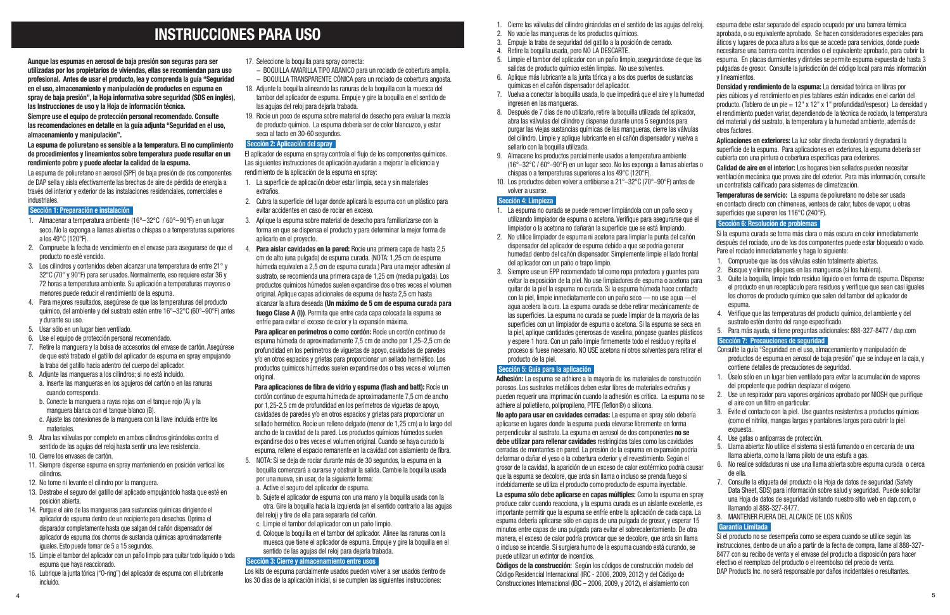- 1. Cierre las válvulas del cilindro girándolas en el sentido de las agujas del reloj. 2. No vacíe las mangueras de los productos químicos. 3. Empuje la traba de seguridad del gatillo a la posición de cerrado. espuma debe estar separado del espacio ocupado por una barrera térmica aprobada, o su equivalente aprobado. Se hacen consideraciones especiales para áticos y lugares de poca altura a los que se accede para servicios, donde puede necesitarse una barrera contra incendios o el equivalente aprobado, para cubrir la
- 
- 
- 4. Retire la boquilla usada, pero NO LA DESCARTE.
- 5. Limpie el tambor del aplicador con un paño limpio, asegurándose de que las salidas de producto químico estén limpias. No use solventes. espuma. En placas durmientes y dinteles se permite espuma expuesta de hasta 3 pulgadas de grosor. Consulte la jurisdicción del código local para más información y lineamientos.
- 6. Aplique más lubricante a la junta tórica y a los dos puertos de sustancias químicas en el cañón dispensador del aplicador.
- 7. Vuelva a conectar la boquilla usada, lo que impedirá que el aire y la humedad ingresen en las mangueras. 8. Después de 7 días de no utilizarlo, retire la boquilla utilizada del aplicador, abra las válvulas del cilindro y dispense durante unos 5 segundos para purgar las viejas sustancias químicas de las mangueras, cierre las válvulas **Densidad y rendimiento de la espuma:** La densidad teórica en libras por pies cúbicos y el rendimiento en pies tablares están indicados en el cartón del producto. (Tablero de un pie = 12" x 12" x 1" profundidad/espesor.) La densidad y el rendimiento pueden variar, dependiendo de la técnica de rociado, la temperatura del material y del sustrato, la temperatura y la humedad ambiente, además de otros factores.
- del cilindro. Limpie y aplique lubricante en el cañón dispensador y vuelva a sellarlo con la boquilla utilizada. **Aplicaciones en exteriores:** La luz solar directa decolorará y degradará la
- 9. Almacene los productos parcialmente usados a temperatura ambiente (16°–32°C / 60°–90°F) en un lugar seco. No los exponga a llamas abiertas o chispas o a temperaturas superiores a los 49°C (120°F). cubierta con una pintura o cobertura específicas para exteriores. **Calidad de aire en el interior:** Los hogares bien sellados pueden necesitar ventilación mecánica que provea aire del exterior. Para más información, consulte un contratista calificado para sistemas de climatización.
- 10. Los productos deben volver a entibiarse a 21°–32°C (70°–90°F) antes de volver a usarse.

# **Sección 4: Limpieza**

**Adhesión:** La espuma se adhiere a la mayoría de los materiales de construcción porosos. Los sustratos metálicos deben estar libres de materiales extraños y pueden requerir una imprimación cuando la adhesión es crítica. La espuma no se adhiere al polietileno, polipropileno, PTFE (Teflon®) o silicona.

**No apto para usar en cavidades cerradas:** La espuma en spray sólo debería aplicarse en lugares donde la espuma pueda elevarse libremente en forma perpendicular al sustrato. La espuma en aerosol de dos componentes **no se debe utilizar para rellenar cavidades** restringidas tales como las cavidades cerradas de montantes en pared. La presión de la espuma en expansión podría deformar o dañar el yeso o la cobertura exterior y el revestimiento. Según el grosor de la cavidad, la aparición de un exceso de calor exotérmico podría causar que la espuma se decolore, que arda sin llama o incluso se prenda fuego si indebidamente se utiliza el producto como producto de espuma inyectable.

**La espuma sólo debe aplicarse en capas múltiples:** Como la espuma en spray produce calor cuando reacciona, y la espuma curada es un aislante excelente, es importante permitir que la espuma se enfríe entre la aplicación de cada capa. La espuma debería aplicarse sólo en capas de una pulgada de grosor, y esperar 15 minutos entre capas de una pulgada para evitar el sobrecalentamiento. De otra manera, el exceso de calor podría provocar que se decolore, que arda sin llama o incluso se incendie. Si surgiera humo de la espuma cuando está curando, se puede utilizar un extintor de incendios.

- 1. La espuma no curada se puede remover limpiándola con un paño seco y utilizando limpiador de espuma o acetona. Verifique para asegurarse que el limpiador o la acetona no dañarán la superficie que se está limpiando.
- 2. No utilice limpiador de espuma ni acetona para limpiar la punta del cañón dispensador del aplicador de espuma debido a que se podría generar humedad dentro del cañón dispensador. Simplemente limpie el lado frontal del aplicador con un paño o trapo limpio.
- 3. Siempre use un EPP recomendado tal como ropa protectora y guantes para evitar la exposición de la piel. No use limpiadores de espuma o acetona para quitar de la piel la espuma no curada. Si la espuma húmeda hace contacto con la piel, limpie inmediatamente con un paño seco — no use agua —el agua acelera la cura. La espuma curada se debe retirar mecánicamente de las superficies. La espuma no curada se puede limpiar de la mayoría de las superficies con un limpiador de espuma o acetona. Si la espuma se seca en la piel, aplique cantidades generosas de vaselina, póngase guantes plásticos y espere 1 hora. Con un paño limpie firmemente todo el residuo y repita el proceso si fuese necesario. NO USE acetona ni otros solventes para retirar el producto de la piel. **Sección 5: Guía para la aplicación**  3. Quite la boquilla, limpie todo residuo líquido o en forma de espuma. Dispense el producto en un receptáculo para residuos y verifique que sean casi iguales los chorros de producto químico que salen del tambor del aplicador de espuma. 4. Verifique que las temperaturas del producto químico, del ambiente y del sustrato estén dentro del rango especificado. 5. Para más ayuda, si tiene preguntas adicionales: 888-327-8477 / dap.com **Sección 7: Precauciones de seguridad** Consulte la guía "Seguridad en el uso, almacenamiento y manipulación de productos de espuma en aerosol de baja presión" que se incluye en la caja, y contiene detalles de precauciones de seguridad.

**Códigos de la construcción:** Según los códigos de construcción modelo del Código Residencial Internacional (IRC - 2006, 2009, 2012) y del Código de Construcciones Internacional (IBC – 2006, 2009, y 2012), el aislamiento con

superficie de la espuma. Para aplicaciones en exteriores, la espuma debería ser

**Temperaturas de servicio:** La espuma de poliuretano no debe ser usada en contacto directo con chimeneas, venteos de calor, tubos de vapor, u otras superficies que superen los 116°C (240°F).

# **Sección 6: Resolución de problemas**

Si la espuma curada se torna más clara o más oscura en color inmediatamente después del rociado, uno de los dos componentes puede estar bloqueado o vacío. Pare el rociado inmediatamente y haga lo siguiente:

- 1. Compruebe que las dos válvulas estén totalmente abiertas.
- 2. Busque y elimine pliegues en las mangueras (si los hubiera).

- 1. Úselo sólo en un lugar bien ventilado para evitar la acumulación de vapores del propelente que podrían desplazar el oxígeno.
- 2. Use un respirador para vapores orgánicos aprobado por NIOSH que purifique el aire con un filtro en particular.
- 3. Evite el contacto con la piel. Use guantes resistentes a productos químicos (como el nitrilo), mangas largas y pantalones largos para cubrir la piel expuesta
- 4. Use gafas o antiparras de protección.
- 5. Llama abierta: No utilice el sistema si está fumando o en cercanía de una llama abierta, como la llama piloto de una estufa a gas.
- 6. No realice soldaduras ni use una llama abierta sobre espuma curada o cerca de ella.
- 7. Consulte la etiqueta del producto o la Hoja de datos de seguridad (Safety Data Sheet, SDS) para información sobre salud y seguridad. Puede solicitar una Hoja de datos de seguridad visitando nuestro sitio web en dap.com, o llamando al 888-327-8477.
- 8. MANTENER FUERA DEL ALCANCE DE LOS NIÑOS

## **Garantía Limitada**

Si el producto no se desempeña como se espera cuando se utilice según las instrucciones, dentro de un año a partir de la fecha de compra, llame al 888-327- 8477 con su recibo de venta y el envase del producto a disposición para hacer efectivo el reemplazo del producto o el reembolso del precio de venta. DAP Products Inc. no será responsable por daños incidentales o resultantes.

**Aunque las espumas en aerosol de baja presión son seguras para ser utilizadas por los propietarios de viviendas, ellas se recomiendan para uso profesional. Antes de usar el producto, lea y comprenda la guía "Seguridad en el uso, almacenamiento y manipulación de productos en espuma en spray de baja presión", la Hoja informativa sobre seguridad (SDS en inglés), las Instrucciones de uso y la Hoja de información técnica.**

**Siempre use el equipo de protección personal recomendado. Consulte las recomendaciones en detalle en la guía adjunta "Seguridad en el uso, almacenamiento y manipulación".** 

#### **La espuma de poliuretano es sensible a la temperatura. El no cumplimiento de procedimientos y lineamientos sobre temperatura puede resultar en un rendimiento pobre y puede afectar la calidad de la espuma.**

La espuma de poliuretano en aerosol (SPF) de baja presión de dos componentes de DAP sella y aísla efectivamente las brechas de aire de pérdida de energía a través del interior y exterior de las instalaciones residenciales, comerciales e industriales.

#### **Sección 1: Preparación e instalación**

- 1. Almacenar a temperatura ambiente (16°–32°C / 60°–90°F) en un lugar seco. No la exponga a llamas abiertas o chispas o a temperaturas superiores a los 49°C (120°F).
- 2. Compruebe la fecha de vencimiento en el envase para asegurarse de que el producto no esté vencido.
- 3. Los cilindros y contenidos deben alcanzar una temperatura de entre 21° y 32°C (70° y 90°F) para ser usados. Normalmente, eso requiere estar 36 y 72 horas a temperatura ambiente. Su aplicación a temperaturas mayores o menores puede reducir el rendimiento de la espuma.
- 4. Para mejores resultados, asegúrese de que las temperaturas del producto químico, del ambiente y del sustrato estén entre 16°–32°C (60°–90°F) antes y durante su uso.
- 5. Usar sólo en un lugar bien ventilado.
- 6. Use el equipo de protección personal recomendado.
- 7. Retire la manguera y la bolsa de accesorios del envase de cartón. Asegúrese de que esté trabado el gatillo del aplicador de espuma en spray empujando la traba del gatillo hacia adentro del cuerpo del aplicador.
- 8. Adjunte las mangueras a los cilindros; si no está incluido.
	- a. Inserte las mangueras en los agujeros del cartón o en las ranuras cuando corresponda.
	- b. Conecte la manguera a rayas rojas con el tanque rojo (A) y la manguera blanca con el tanque blanco (B).
	- c. Ajuste las conexiones de la manguera con la llave incluida entre los materiales.
- 9. Abra las válvulas por completo en ambos cilindros girándolas contra el sentido de las agujas del reloj hasta sentir una leve resistencia.
- 10. Cierre los envases de cartón.
- 11. Siempre dispense espuma en spray manteniendo en posición vertical los cilindros.
- 12. No tome ni levante el cilindro por la manguera.
- 13. Destrabe el seguro del gatillo del aplicado empujándolo hasta que esté en posición abierta.
- 14. Purgue el aire de las mangueras para sustancias químicas dirigiendo el aplicador de espuma dentro de un recipiente para desechos. Oprima el disparador completamente hasta que salgan del cañón dispensador del aplicador de espuma dos chorros de sustancia químicas aproximadamente iguales. Esto puede tomar de 5 a 15 segundos.
- 15. Limpie el tambor del aplicador con un paño limpio para quitar todo líquido o toda espuma que haya reaccionado.
- 16. Lubrique la junta tórica ("O-ring") del aplicador de espuma con el lubricante incluido.
- 17. Seleccione la boquilla para spray correcta:
	- − BOQUILLA AMARILLA TIPO ABANICO para un rociado de cobertura amplia. − BOQUILLA TRANSPARENTE CÓNICA para un rociado de cobertura angosta.
- 18. Adjunte la boquilla alineando las ranuras de la boquilla con la muesca del
- tambor del aplicador de espuma. Empuje y gire la boquilla en el sentido de las agujas del reloj para dejarla trabada.
- 19. Rocíe un poco de espuma sobre material de desecho para evaluar la mezcla de producto químico. La espuma debería ser de color blancuzco, y estar seca al tacto en 30-60 segundos.

### **Sección 2: Aplicación del spray**

El aplicador de espuma en spray controla el flujo de los componentes químicos. Las siguientes instrucciones de aplicación ayudarán a mejorar la eficiencia y rendimiento de la aplicación de la espuma en spray:

- 1. La superficie de aplicación deber estar limpia, seca y sin materiales extraños.
- 2. Cubra la superficie del lugar donde aplicará la espuma con un plástico para evitar accidentes en caso de rociar en exceso.
- 3. Aplique la espuma sobre material de desecho para familiarizarse con la forma en que se dispensa el producto y para determinar la mejor forma de aplicarlo en el proyecto.
- 4. **Para aislar cavidades en la pared:** Rocíe una primera capa de hasta 2,5 cm de alto (una pulgada) de espuma curada. (NOTA: 1,25 cm de espuma húmeda equivalen a 2,5 cm de espuma curada.) Para una mejor adhesión al sustrato, se recomienda una primera capa de 1,25 cm (media pulgada). Los productos químicos húmedos suelen expandirse dos o tres veces el volumen original. Aplique capas adicionales de espuma de hasta 2,5 cm hasta alcanzar la altura deseada **(Un máximo de 5 cm de espuma curada para fuego Clase A (I))**. Permita que entre cada capa colocada la espuma se enfríe para evitar el exceso de calor y la expansión máxima.

**Para aplicar en perímetros o como cordón:** Rocíe un cordón continuo de espuma húmeda de aproximadamente 7,5 cm de ancho por 1,25–2,5 cm de profundidad en los perímetros de viguetas de apoyo, cavidades de paredes y/o en otros espacios y grietas para proporcionar un sellado hermético. Los productos químicos húmedos suelen expandirse dos o tres veces el volumen original.

**Para aplicaciones de fibra de vidrio y espuma (flash and batt):** Rocíe un cordón continuo de espuma húmeda de aproximadamente 7,5 cm de ancho por 1,25-2,5 cm de profundidad en los perímetros de viguetas de apoyo, cavidades de paredes y/o en otros espacios y grietas para proporcionar un sellado hermético. Rocíe un relleno delgado (menor de 1,25 cm) a lo largo del ancho de la cavidad de la pared. Los productos químicos húmedos suelen expandirse dos o tres veces el volumen original. Cuando se haya curado la espuma, rellene el espacio remanente en la cavidad con aislamiento de fibra.

- 5. NOTA: Si se deja de rociar durante más de 30 segundos, la espuma en la boquilla comenzará a curarse y obstruir la salida. Cambie la boquilla usada por una nueva, sin usar, de la siguiente forma:
	- a. Active el seguro del aplicador de espuma.
	- b. Sujete el aplicador de espuma con una mano y la boquilla usada con la otra. Gire la boquilla hacia la izquierda (en el sentido contrario a las agujas del reloj) y tire de ella para separarla del cañón.
	- c. Limpie el tambor del aplicador con un paño limpio.
	- d. Coloque la boquilla en el tambor del aplicador. Alinee las ranuras con la muesca que tiene el aplicador de espuma. Empuje y gire la boquilla en el sentido de las agujas del reloj para dejarla trabada.

## **Sección 3: Cierre y almacenamiento entre usos**

Los kits de espuma parcialmente usados pueden volver a ser usados dentro de los 30 días de la aplicación inicial, si se cumplen las siguientes instrucciones:

# **INSTRUCCIONES PARA USO**